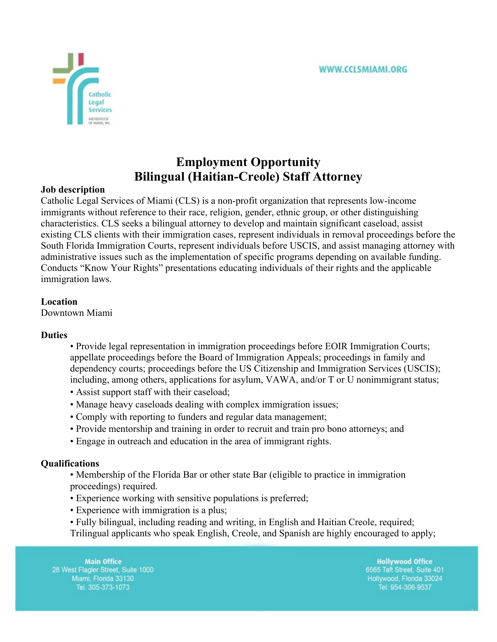

# **Employment Opportunity Bilingual (Haitian-Creole) Staff Attorney**

# **Job description**

Catholic Legal Services of Miami (CLS) is a non-profit organization that represents low-income immigrants without reference to their race, religion, gender, ethnic group, or other distinguishing characteristics. CLS seeks a bilingual attorney to develop and maintain significant caseload, assist existing CLS clients with their immigration cases, represent individuals in removal proceedings before the South Florida Immigration Courts, represent individuals before USCIS, and assist managing attorney with administrative issues such as the implementation of specific programs depending on available funding. Conducts "Know Your Rights" presentations educating individuals of their rights and the applicable immigration laws.

# **Location**

Downtown Miami

## **Duties**

- Provide legal representation in immigration proceedings before EOIR Immigration Courts; appellate proceedings before the Board of Immigration Appeals; proceedings in family and dependency courts; proceedings before the US Citizenship and Immigration Services (USCIS); including, among others, applications for asylum, VAWA, and/or T or U nonimmigrant status;
- Assist support staff with their caseload;
- Manage heavy caseloads dealing with complex immigration issues;
- Comply with reporting to funders and regular data management;
- Provide mentorship and training in order to recruit and train pro bono attorneys; and
- Engage in outreach and education in the area of immigrant rights.

## **Qualifications**

• Membership of the Florida Bar or other state Bar (eligible to practice in immigration proceedings) required.

- Experience working with sensitive populations is preferred;
- Experience with immigration is a plus;
- Fully bilingual, including reading and writing, in English and Haitian Creole, required;

Trilingual applicants who speak English, Creole, and Spanish are highly encouraged to apply;

**Main Office** 28 West Flagler Street, Suite 1000 Miami, Florida 33130 Tel. 305-373-1073

**Hollywood Office** 6565 Taft Street, Suite 401 Hollywood, Florida 33024 Tel: 954-306-9537